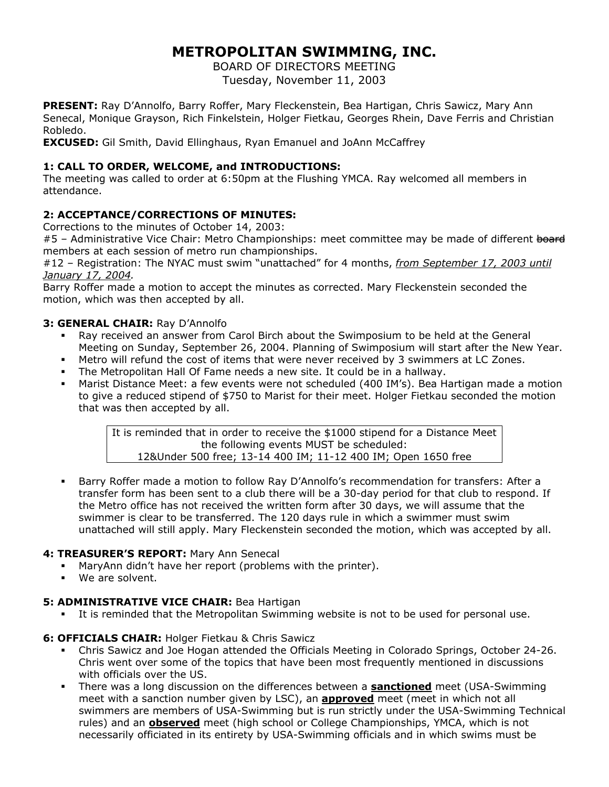# **METROPOLITAN SWIMMING, INC.**

BOARD OF DIRECTORS MEETING Tuesday, November 11, 2003

**PRESENT:** Ray D'Annolfo, Barry Roffer, Mary Fleckenstein, Bea Hartigan, Chris Sawicz, Mary Ann Senecal, Monique Grayson, Rich Finkelstein, Holger Fietkau, Georges Rhein, Dave Ferris and Christian Robledo.

**EXCUSED:** Gil Smith, David Ellinghaus, Ryan Emanuel and JoAnn McCaffrey

# **1: CALL TO ORDER, WELCOME, and INTRODUCTIONS:**

The meeting was called to order at 6:50pm at the Flushing YMCA. Ray welcomed all members in attendance.

# **2: ACCEPTANCE/CORRECTIONS OF MINUTES:**

Corrections to the minutes of October 14, 2003:

#5 - Administrative Vice Chair: Metro Championships: meet committee may be made of different board members at each session of metro run championships.

#12 – Registration: The NYAC must swim "unattached" for 4 months, *from September 17, 2003 until January 17, 2004.*

Barry Roffer made a motion to accept the minutes as corrected. Mary Fleckenstein seconded the motion, which was then accepted by all.

#### **3: GENERAL CHAIR:** Ray D'Annolfo

- Ray received an answer from Carol Birch about the Swimposium to be held at the General Meeting on Sunday, September 26, 2004. Planning of Swimposium will start after the New Year.
- Metro will refund the cost of items that were never received by 3 swimmers at LC Zones.
- The Metropolitan Hall Of Fame needs a new site. It could be in a hallway.
- Marist Distance Meet: a few events were not scheduled (400 IM's). Bea Hartigan made a motion to give a reduced stipend of \$750 to Marist for their meet. Holger Fietkau seconded the motion that was then accepted by all.

It is reminded that in order to receive the \$1000 stipend for a Distance Meet the following events MUST be scheduled: 12&Under 500 free; 13-14 400 IM; 11-12 400 IM; Open 1650 free

 Barry Roffer made a motion to follow Ray D'Annolfo's recommendation for transfers: After a transfer form has been sent to a club there will be a 30-day period for that club to respond. If the Metro office has not received the written form after 30 days, we will assume that the swimmer is clear to be transferred. The 120 days rule in which a swimmer must swim unattached will still apply. Mary Fleckenstein seconded the motion, which was accepted by all.

## **4: TREASURER'S REPORT:** Mary Ann Senecal

- MaryAnn didn't have her report (problems with the printer).
- We are solvent.

## **5: ADMINISTRATIVE VICE CHAIR: Bea Hartigan**

It is reminded that the Metropolitan Swimming website is not to be used for personal use.

## **6: OFFICIALS CHAIR:** Holger Fietkau & Chris Sawicz

- Chris Sawicz and Joe Hogan attended the Officials Meeting in Colorado Springs, October 24-26. Chris went over some of the topics that have been most frequently mentioned in discussions with officials over the US.
- There was a long discussion on the differences between a **sanctioned** meet (USA-Swimming meet with a sanction number given by LSC), an **approved** meet (meet in which not all swimmers are members of USA-Swimming but is run strictly under the USA-Swimming Technical rules) and an **observed** meet (high school or College Championships, YMCA, which is not necessarily officiated in its entirety by USA-Swimming officials and in which swims must be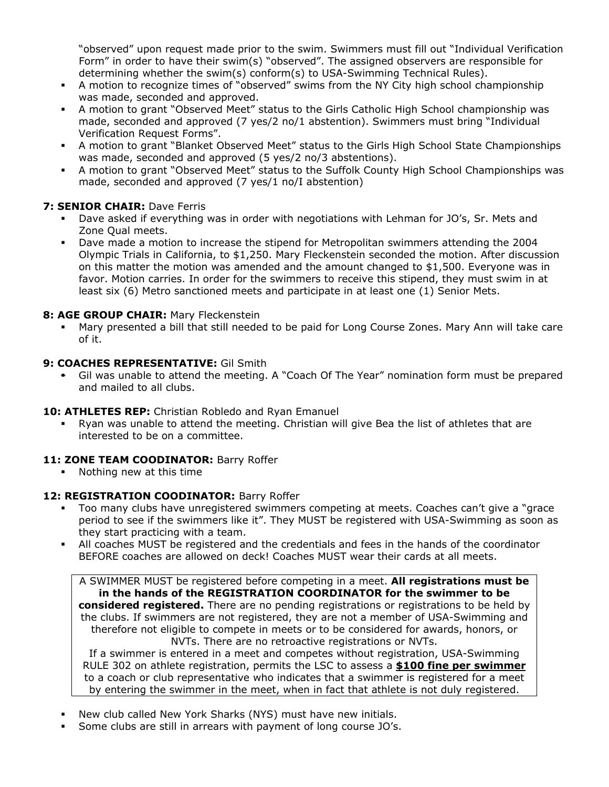"observed" upon request made prior to the swim. Swimmers must fill out "Individual Verification Form" in order to have their swim(s) "observed". The assigned observers are responsible for determining whether the swim(s) conform(s) to USA-Swimming Technical Rules).

- A motion to recognize times of "observed" swims from the NY City high school championship was made, seconded and approved.
- A motion to grant "Observed Meet" status to the Girls Catholic High School championship was made, seconded and approved (7 yes/2 no/1 abstention). Swimmers must bring "Individual Verification Request Forms".
- A motion to grant "Blanket Observed Meet" status to the Girls High School State Championships was made, seconded and approved (5 yes/2 no/3 abstentions).
- A motion to grant "Observed Meet" status to the Suffolk County High School Championships was made, seconded and approved (7 yes/1 no/I abstention)

# **7: SENIOR CHAIR:** Dave Ferris

- Dave asked if everything was in order with negotiations with Lehman for JO's, Sr. Mets and Zone Qual meets.
- Dave made a motion to increase the stipend for Metropolitan swimmers attending the 2004 Olympic Trials in California, to \$1,250. Mary Fleckenstein seconded the motion. After discussion on this matter the motion was amended and the amount changed to \$1,500. Everyone was in favor. Motion carries. In order for the swimmers to receive this stipend, they must swim in at least six (6) Metro sanctioned meets and participate in at least one (1) Senior Mets.

# **8: AGE GROUP CHAIR:** Mary Fleckenstein

 Mary presented a bill that still needed to be paid for Long Course Zones. Mary Ann will take care of it.

## **9: COACHES REPRESENTATIVE:** Gil Smith

 Gil was unable to attend the meeting. A "Coach Of The Year" nomination form must be prepared and mailed to all clubs.

## **10: ATHLETES REP:** Christian Robledo and Ryan Emanuel

 Ryan was unable to attend the meeting. Christian will give Bea the list of athletes that are interested to be on a committee.

## 11: **ZONE TEAM COODINATOR:** Barry Roffer

Nothing new at this time

## 12: REGISTRATION COODINATOR: Barry Roffer

- Too many clubs have unregistered swimmers competing at meets. Coaches can't give a "grace period to see if the swimmers like it". They MUST be registered with USA-Swimming as soon as they start practicing with a team.
- All coaches MUST be registered and the credentials and fees in the hands of the coordinator BEFORE coaches are allowed on deck! Coaches MUST wear their cards at all meets.

A SWIMMER MUST be registered before competing in a meet. **All registrations must be in the hands of the REGISTRATION COORDINATOR for the swimmer to be considered registered.** There are no pending registrations or registrations to be held by the clubs. If swimmers are not registered, they are not a member of USA-Swimming and therefore not eligible to compete in meets or to be considered for awards, honors, or NVTs. There are no retroactive registrations or NVTs.

If a swimmer is entered in a meet and competes without registration, USA-Swimming RULE 302 on athlete registration, permits the LSC to assess a **\$100 fine per swimmer** to a coach or club representative who indicates that a swimmer is registered for a meet by entering the swimmer in the meet, when in fact that athlete is not duly registered.

- New club called New York Sharks (NYS) must have new initials.
- Some clubs are still in arrears with payment of long course JO's.